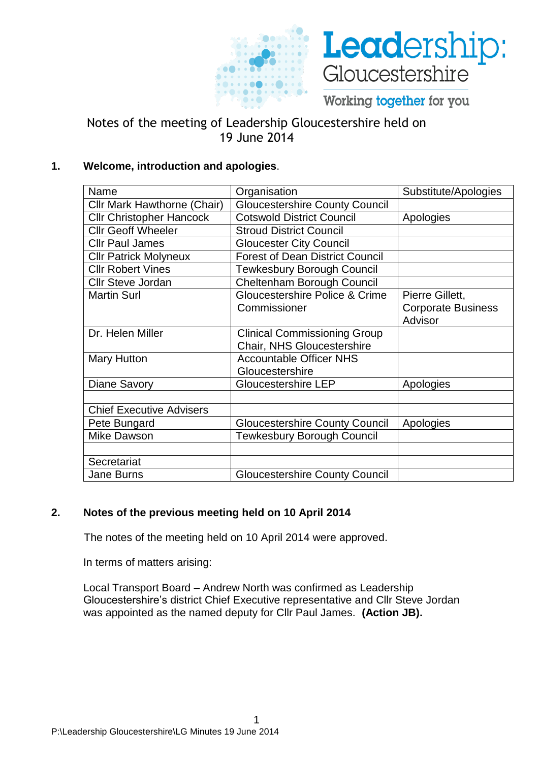



Working together for you

# Notes of the meeting of Leadership Gloucestershire held on 19 June 2014

# **1. Welcome, introduction and apologies**.

| Name                            | Organisation                                                             | Substitute/Apologies                 |
|---------------------------------|--------------------------------------------------------------------------|--------------------------------------|
| Cllr Mark Hawthorne (Chair)     | <b>Gloucestershire County Council</b>                                    |                                      |
| <b>Cllr Christopher Hancock</b> | <b>Cotswold District Council</b>                                         | Apologies                            |
| <b>Cllr Geoff Wheeler</b>       | <b>Stroud District Council</b>                                           |                                      |
| <b>Cllr Paul James</b>          | <b>Gloucester City Council</b>                                           |                                      |
| <b>Cllr Patrick Molyneux</b>    | <b>Forest of Dean District Council</b>                                   |                                      |
| <b>Cllr Robert Vines</b>        | <b>Tewkesbury Borough Council</b>                                        |                                      |
| <b>Cllr Steve Jordan</b>        | Cheltenham Borough Council                                               |                                      |
| <b>Martin Surl</b>              | Gloucestershire Police & Crime                                           | Pierre Gillett,                      |
|                                 | Commissioner                                                             | <b>Corporate Business</b><br>Advisor |
| Dr. Helen Miller                | <b>Clinical Commissioning Group</b><br><b>Chair, NHS Gloucestershire</b> |                                      |
| <b>Mary Hutton</b>              | <b>Accountable Officer NHS</b><br>Gloucestershire                        |                                      |
| <b>Diane Savory</b>             | <b>Gloucestershire LEP</b>                                               | Apologies                            |
|                                 |                                                                          |                                      |
| <b>Chief Executive Advisers</b> |                                                                          |                                      |
| Pete Bungard                    | <b>Gloucestershire County Council</b>                                    | Apologies                            |
| <b>Mike Dawson</b>              | <b>Tewkesbury Borough Council</b>                                        |                                      |
|                                 |                                                                          |                                      |
| Secretariat                     |                                                                          |                                      |
| <b>Jane Burns</b>               | <b>Gloucestershire County Council</b>                                    |                                      |

# **2. Notes of the previous meeting held on 10 April 2014**

The notes of the meeting held on 10 April 2014 were approved.

In terms of matters arising:

Local Transport Board – Andrew North was confirmed as Leadership Gloucestershire's district Chief Executive representative and Cllr Steve Jordan was appointed as the named deputy for Cllr Paul James. **(Action JB).**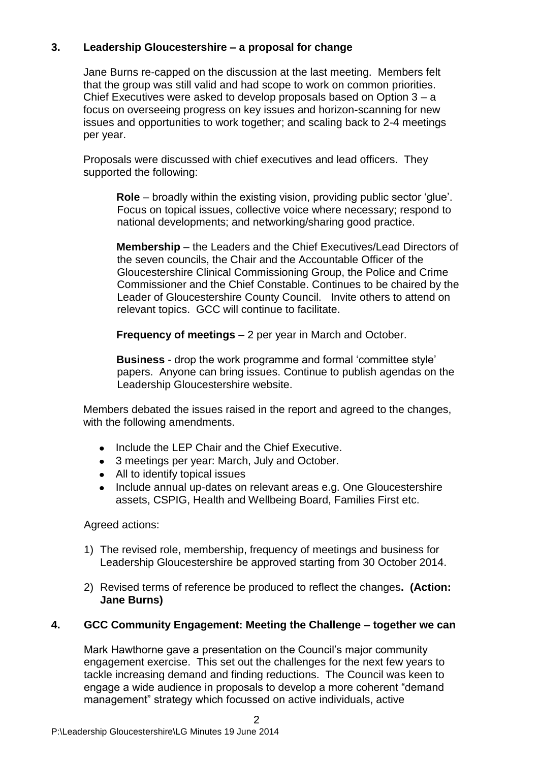# **3. Leadership Gloucestershire – a proposal for change**

Jane Burns re-capped on the discussion at the last meeting. Members felt that the group was still valid and had scope to work on common priorities. Chief Executives were asked to develop proposals based on Option 3 – a focus on overseeing progress on key issues and horizon-scanning for new issues and opportunities to work together; and scaling back to 2-4 meetings per year.

Proposals were discussed with chief executives and lead officers. They supported the following:

**Role** – broadly within the existing vision, providing public sector 'glue'. Focus on topical issues, collective voice where necessary; respond to national developments; and networking/sharing good practice.

**Membership** – the Leaders and the Chief Executives/Lead Directors of the seven councils, the Chair and the Accountable Officer of the Gloucestershire Clinical Commissioning Group, the Police and Crime Commissioner and the Chief Constable. Continues to be chaired by the Leader of Gloucestershire County Council. Invite others to attend on relevant topics. GCC will continue to facilitate.

**Frequency of meetings** – 2 per year in March and October.

**Business** - drop the work programme and formal 'committee style' papers. Anyone can bring issues. Continue to publish agendas on the Leadership Gloucestershire website.

Members debated the issues raised in the report and agreed to the changes, with the following amendments.

- Include the LEP Chair and the Chief Executive.
- 3 meetings per year: March, July and October.
- All to identify topical issues
- Include annual up-dates on relevant areas e.g. One Gloucestershire assets, CSPIG, Health and Wellbeing Board, Families First etc.

Agreed actions:

- 1) The revised role, membership, frequency of meetings and business for Leadership Gloucestershire be approved starting from 30 October 2014.
- 2) Revised terms of reference be produced to reflect the changes**. (Action: Jane Burns)**

# **4. GCC Community Engagement: Meeting the Challenge – together we can**

Mark Hawthorne gave a presentation on the Council's major community engagement exercise. This set out the challenges for the next few years to tackle increasing demand and finding reductions. The Council was keen to engage a wide audience in proposals to develop a more coherent "demand management" strategy which focussed on active individuals, active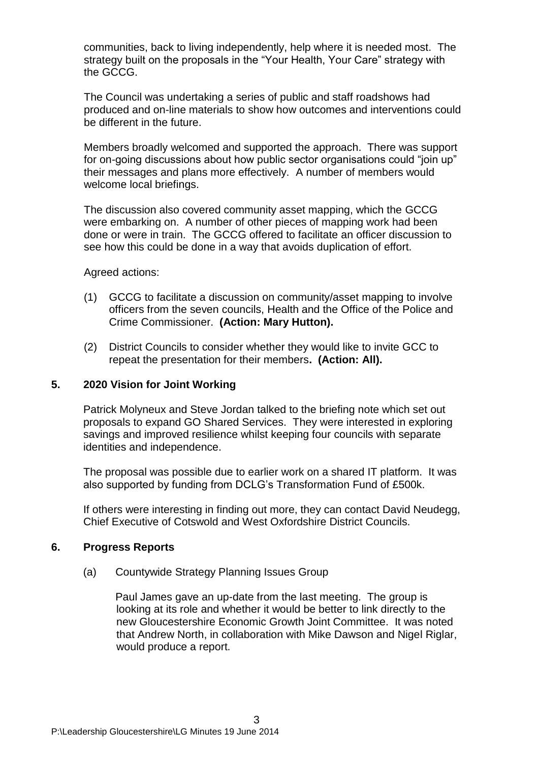communities, back to living independently, help where it is needed most. The strategy built on the proposals in the "Your Health, Your Care" strategy with the GCCG.

The Council was undertaking a series of public and staff roadshows had produced and on-line materials to show how outcomes and interventions could be different in the future.

Members broadly welcomed and supported the approach. There was support for on-going discussions about how public sector organisations could "join up" their messages and plans more effectively. A number of members would welcome local briefings.

The discussion also covered community asset mapping, which the GCCG were embarking on. A number of other pieces of mapping work had been done or were in train. The GCCG offered to facilitate an officer discussion to see how this could be done in a way that avoids duplication of effort.

Agreed actions:

- (1) GCCG to facilitate a discussion on community/asset mapping to involve officers from the seven councils, Health and the Office of the Police and Crime Commissioner. **(Action: Mary Hutton).**
- (2) District Councils to consider whether they would like to invite GCC to repeat the presentation for their members**. (Action: All).**

#### **5. 2020 Vision for Joint Working**

Patrick Molyneux and Steve Jordan talked to the briefing note which set out proposals to expand GO Shared Services. They were interested in exploring savings and improved resilience whilst keeping four councils with separate identities and independence.

The proposal was possible due to earlier work on a shared IT platform. It was also supported by funding from DCLG's Transformation Fund of £500k.

If others were interesting in finding out more, they can contact David Neudegg, Chief Executive of Cotswold and West Oxfordshire District Councils.

#### **6. Progress Reports**

(a) Countywide Strategy Planning Issues Group

Paul James gave an up-date from the last meeting. The group is looking at its role and whether it would be better to link directly to the new Gloucestershire Economic Growth Joint Committee. It was noted that Andrew North, in collaboration with Mike Dawson and Nigel Riglar, would produce a report.